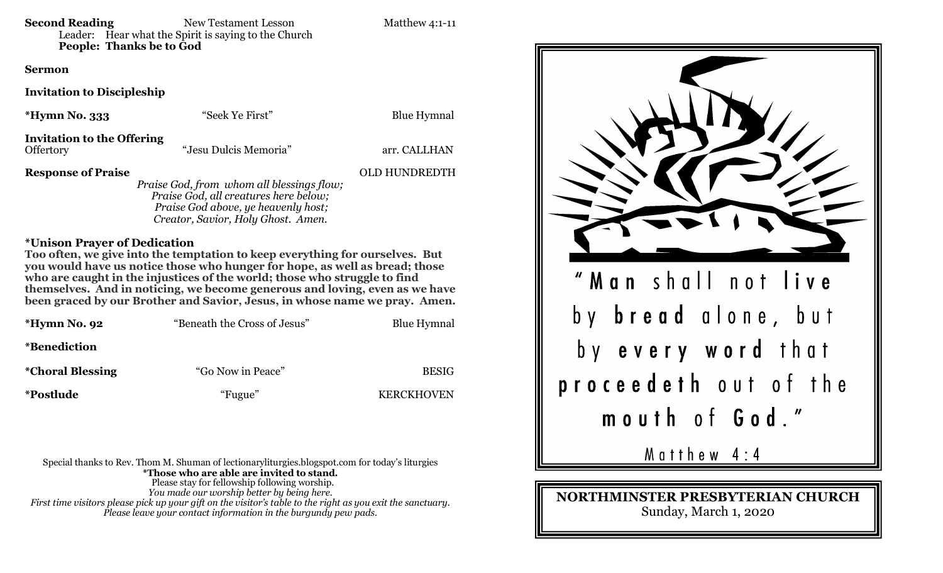| <b>Second Reading</b><br>People: Thanks be to God                                                                                                                                                                                            | New Testament Lesson<br>Leader: Hear what the Spirit is saying to the Church | Matthew 4:1-11 |  |
|----------------------------------------------------------------------------------------------------------------------------------------------------------------------------------------------------------------------------------------------|------------------------------------------------------------------------------|----------------|--|
| <b>Sermon</b>                                                                                                                                                                                                                                |                                                                              |                |  |
| <b>Invitation to Discipleship</b>                                                                                                                                                                                                            |                                                                              |                |  |
| *Hymn No. 333                                                                                                                                                                                                                                | "Seek Ye First"                                                              | Blue Hymnal    |  |
| <b>Invitation to the Offering</b><br>Offertory                                                                                                                                                                                               | "Jesu Dulcis Memoria"                                                        | arr. CALLHAN   |  |
| <b>Response of Praise</b><br>OLD HUNDREDTH<br>Praise God, from whom all blessings flow;<br>Praise God, all creatures here below;<br>Praise God above, ye heavenly host;<br>Creator, Savior, Holy Ghost. Amen.<br>$\sim$ $\sim$ $\sim$ $\sim$ |                                                                              |                |  |

## **\*Unison Prayer of Dedication**

**Too often, we give into the temptation to keep everything for ourselves. But you would have us notice those who hunger for hope, as well as bread; those**  who are caught in the injustices of the world; those who struggle to find **themselves. And in noticing, we become generous and loving, even as we have been graced by our Brother and Savior, Jesus, in whose name we pray. Amen.**

| <i><b>*Hymn No. 92</b></i> | "Beneath the Cross of Jesus" | <b>Blue Hymnal</b> |
|----------------------------|------------------------------|--------------------|
| <i>*</i> Benediction       |                              |                    |
| <i>*</i> Choral Blessing   | "Go Now in Peace"            | <b>BESIG</b>       |
| <i>*Postlude</i>           | "Fugue"                      | <b>KERCKHOVEN</b>  |

Special thanks to Rev. Thom M. Shuman of lectionaryliturgies.blogspot.com for today's liturgies **\*Those who are able are invited to stand.** Please stay for fellowship following worship. *You made our worship better by being here. First time visitors please pick up your gift on the visitor's table to the right as you exit the sanctuary. Please leave your contact information in the burgundy pew pads.*



**NORTHMINSTER PRESBYTERIAN CHURCH** Sunday, March 1, 2020